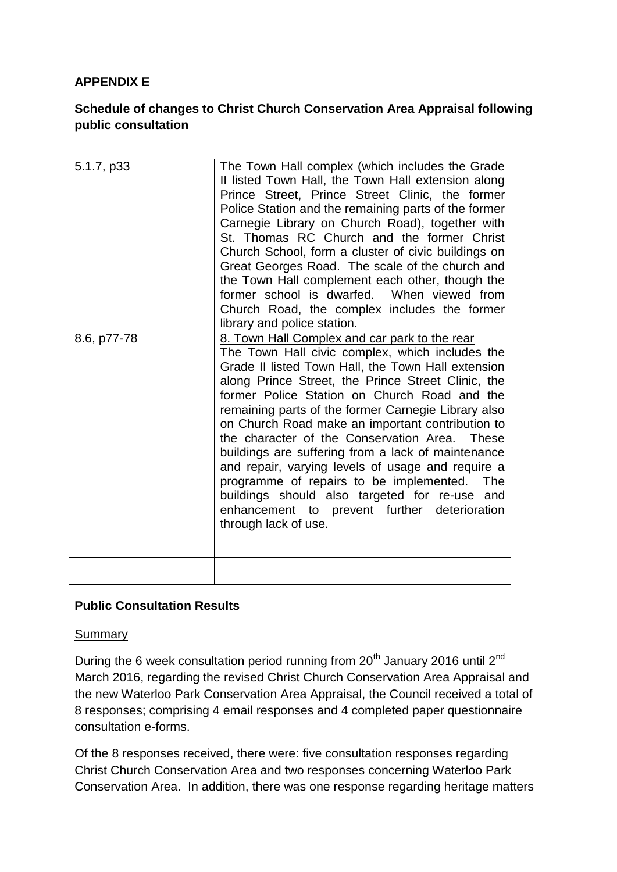## **APPENDIX E**

## **Schedule of changes to Christ Church Conservation Area Appraisal following public consultation**

| 5.1.7, p33  | The Town Hall complex (which includes the Grade<br>II listed Town Hall, the Town Hall extension along<br>Prince Street, Prince Street Clinic, the former<br>Police Station and the remaining parts of the former<br>Carnegie Library on Church Road), together with<br>St. Thomas RC Church and the former Christ<br>Church School, form a cluster of civic buildings on<br>Great Georges Road. The scale of the church and<br>the Town Hall complement each other, though the<br>former school is dwarfed. When viewed from<br>Church Road, the complex includes the former                                                                                                                                          |
|-------------|-----------------------------------------------------------------------------------------------------------------------------------------------------------------------------------------------------------------------------------------------------------------------------------------------------------------------------------------------------------------------------------------------------------------------------------------------------------------------------------------------------------------------------------------------------------------------------------------------------------------------------------------------------------------------------------------------------------------------|
|             | library and police station.                                                                                                                                                                                                                                                                                                                                                                                                                                                                                                                                                                                                                                                                                           |
| 8.6, p77-78 | 8. Town Hall Complex and car park to the rear<br>The Town Hall civic complex, which includes the<br>Grade II listed Town Hall, the Town Hall extension<br>along Prince Street, the Prince Street Clinic, the<br>former Police Station on Church Road and the<br>remaining parts of the former Carnegie Library also<br>on Church Road make an important contribution to<br>the character of the Conservation Area. These<br>buildings are suffering from a lack of maintenance<br>and repair, varying levels of usage and require a<br>programme of repairs to be implemented.<br><b>The</b><br>buildings should also targeted for re-use and<br>enhancement to prevent further deterioration<br>through lack of use. |
|             |                                                                                                                                                                                                                                                                                                                                                                                                                                                                                                                                                                                                                                                                                                                       |

## **Public Consultation Results**

## **Summary**

During the 6 week consultation period running from 20<sup>th</sup> January 2016 until 2<sup>nd</sup> March 2016, regarding the revised Christ Church Conservation Area Appraisal and the new Waterloo Park Conservation Area Appraisal, the Council received a total of 8 responses; comprising 4 email responses and 4 completed paper questionnaire consultation e-forms.

Of the 8 responses received, there were: five consultation responses regarding Christ Church Conservation Area and two responses concerning Waterloo Park Conservation Area. In addition, there was one response regarding heritage matters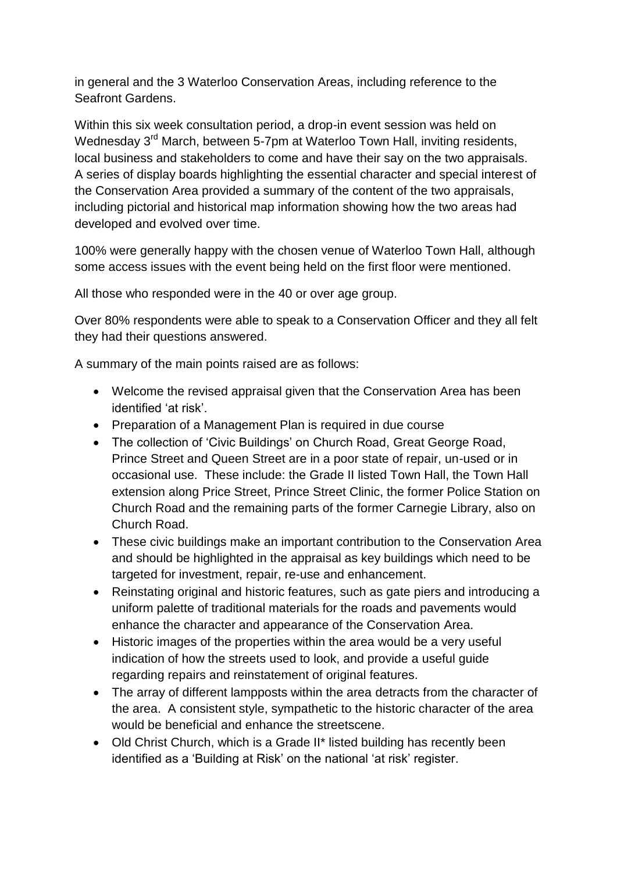in general and the 3 Waterloo Conservation Areas, including reference to the Seafront Gardens.

Within this six week consultation period, a drop-in event session was held on Wednesday 3<sup>rd</sup> March, between 5-7pm at Waterloo Town Hall, inviting residents, local business and stakeholders to come and have their say on the two appraisals. A series of display boards highlighting the essential character and special interest of the Conservation Area provided a summary of the content of the two appraisals, including pictorial and historical map information showing how the two areas had developed and evolved over time.

100% were generally happy with the chosen venue of Waterloo Town Hall, although some access issues with the event being held on the first floor were mentioned.

All those who responded were in the 40 or over age group.

Over 80% respondents were able to speak to a Conservation Officer and they all felt they had their questions answered.

A summary of the main points raised are as follows:

- Welcome the revised appraisal given that the Conservation Area has been identified 'at risk'.
- Preparation of a Management Plan is required in due course
- The collection of 'Civic Buildings' on Church Road, Great George Road, Prince Street and Queen Street are in a poor state of repair, un-used or in occasional use. These include: the Grade II listed Town Hall, the Town Hall extension along Price Street, Prince Street Clinic, the former Police Station on Church Road and the remaining parts of the former Carnegie Library, also on Church Road.
- These civic buildings make an important contribution to the Conservation Area and should be highlighted in the appraisal as key buildings which need to be targeted for investment, repair, re-use and enhancement.
- Reinstating original and historic features, such as gate piers and introducing a uniform palette of traditional materials for the roads and pavements would enhance the character and appearance of the Conservation Area.
- Historic images of the properties within the area would be a very useful indication of how the streets used to look, and provide a useful guide regarding repairs and reinstatement of original features.
- The array of different lampposts within the area detracts from the character of the area. A consistent style, sympathetic to the historic character of the area would be beneficial and enhance the streetscene.
- Old Christ Church, which is a Grade II\* listed building has recently been identified as a 'Building at Risk' on the national 'at risk' register.